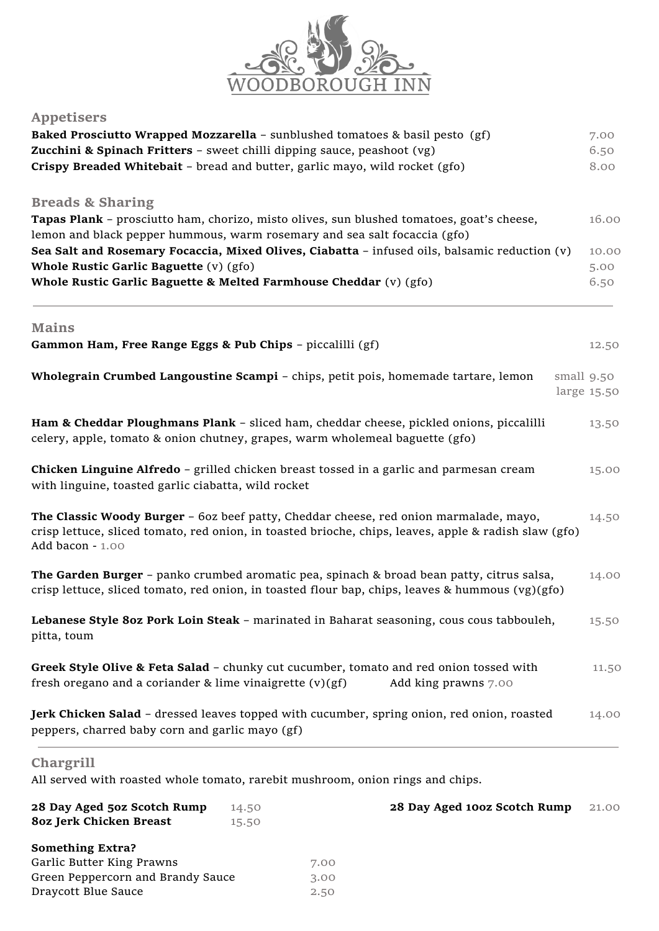

## **Appetisers**

| <b>Baked Prosciutto Wrapped Mozzarella - sunblushed tomatoes &amp; basil pesto (gf)</b><br>Zucchini & Spinach Fritters - sweet chilli dipping sauce, peashoot (vg)                                                 |                |              |                              | 7.00<br>6.50 |             |
|--------------------------------------------------------------------------------------------------------------------------------------------------------------------------------------------------------------------|----------------|--------------|------------------------------|--------------|-------------|
| Crispy Breaded Whitebait - bread and butter, garlic mayo, wild rocket (gfo)                                                                                                                                        |                |              |                              |              | 8.00        |
| <b>Breads &amp; Sharing</b>                                                                                                                                                                                        |                |              |                              |              |             |
| Tapas Plank - prosciutto ham, chorizo, misto olives, sun blushed tomatoes, goat's cheese,                                                                                                                          |                |              |                              |              | 16.00       |
| lemon and black pepper hummous, warm rosemary and sea salt focaccia (gfo)<br>Sea Salt and Rosemary Focaccia, Mixed Olives, Ciabatta - infused oils, balsamic reduction (v)                                         |                |              |                              |              | 10.00       |
| Whole Rustic Garlic Baguette (v) (gfo)                                                                                                                                                                             |                |              |                              |              | 5.00        |
| Whole Rustic Garlic Baguette & Melted Farmhouse Cheddar (v) (gfo)                                                                                                                                                  |                |              |                              |              | 6.50        |
| <b>Mains</b>                                                                                                                                                                                                       |                |              |                              |              |             |
| Gammon Ham, Free Range Eggs & Pub Chips - piccalilli (gf)                                                                                                                                                          |                |              |                              |              | 12.50       |
| Wholegrain Crumbed Langoustine Scampi - chips, petit pois, homemade tartare, lemon                                                                                                                                 |                |              |                              | small 9.50   |             |
|                                                                                                                                                                                                                    |                |              |                              |              | large 15.50 |
| Ham & Cheddar Ploughmans Plank - sliced ham, cheddar cheese, pickled onions, piccalilli<br>celery, apple, tomato & onion chutney, grapes, warm wholemeal baguette (gfo)                                            |                |              |                              |              | 13.50       |
| Chicken Linguine Alfredo - grilled chicken breast tossed in a garlic and parmesan cream<br>with linguine, toasted garlic ciabatta, wild rocket                                                                     |                |              |                              |              | 15.00       |
| The Classic Woody Burger - 60z beef patty, Cheddar cheese, red onion marmalade, mayo,<br>crisp lettuce, sliced tomato, red onion, in toasted brioche, chips, leaves, apple & radish slaw (gfo)<br>Add bacon - 1.00 |                |              |                              |              | 14.50       |
| The Garden Burger - panko crumbed aromatic pea, spinach & broad bean patty, citrus salsa,<br>crisp lettuce, sliced tomato, red onion, in toasted flour bap, chips, leaves & hummous (vg)(gfo)                      |                |              |                              |              | 14.00       |
| Lebanese Style 8oz Pork Loin Steak - marinated in Baharat seasoning, cous cous tabbouleh,<br>pitta, toum                                                                                                           |                |              |                              |              | 15.50       |
| Greek Style Olive & Feta Salad - chunky cut cucumber, tomato and red onion tossed with<br>fresh oregano and a coriander & lime vinaigrette (v)(gf)                                                                 |                |              | Add king prawns 7.00         |              | 11.50       |
| Jerk Chicken Salad - dressed leaves topped with cucumber, spring onion, red onion, roasted<br>peppers, charred baby corn and garlic mayo (gf)                                                                      |                |              |                              |              | 14.00       |
| Chargrill                                                                                                                                                                                                          |                |              |                              |              |             |
| All served with roasted whole tomato, rarebit mushroom, onion rings and chips.                                                                                                                                     |                |              |                              |              |             |
| 28 Day Aged 50z Scotch Rump<br>8oz Jerk Chicken Breast                                                                                                                                                             | 14.50<br>15.50 |              | 28 Day Aged 100z Scotch Rump |              | 21.00       |
| <b>Something Extra?</b>                                                                                                                                                                                            |                |              |                              |              |             |
| Garlic Butter King Prawns                                                                                                                                                                                          |                | 7.00         |                              |              |             |
| Green Peppercorn and Brandy Sauce<br>Draycott Blue Sauce                                                                                                                                                           |                | 3.00<br>2.50 |                              |              |             |